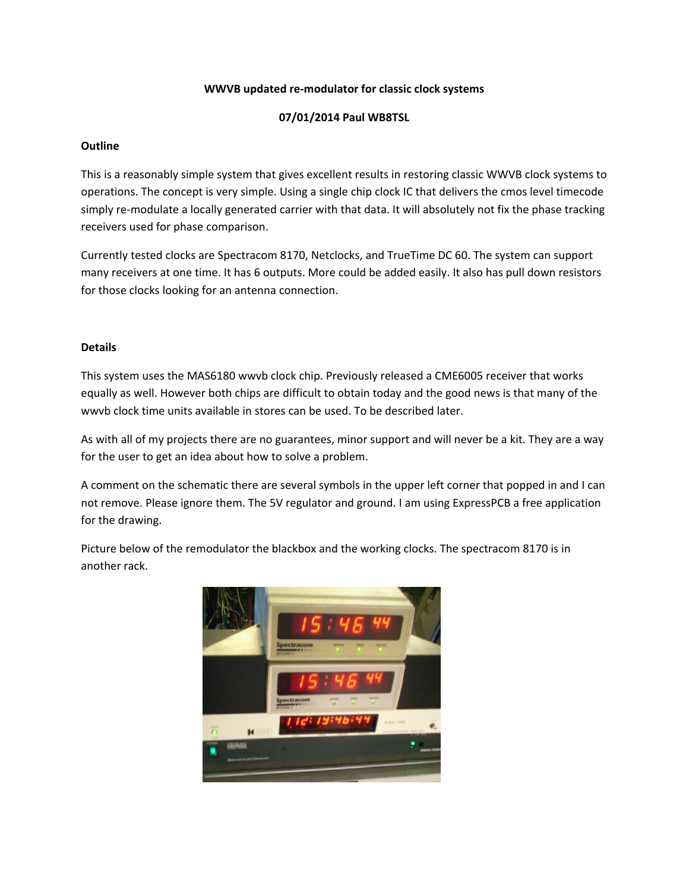## **WWVB updated re-modulator for classic clock systems**

# **07/01/2014 Paul WB8TSL**

### **Outline**

This is a reasonably simple system that gives excellent results in restoring classic WWVB clock systems to operations. The concept is very simple. Using a single chip clock IC that delivers the cmos level timecode simply re-modulate a locally generated carrier with that data. It will absolutely not fix the phase tracking receivers used for phase comparison.

Currently tested clocks are Spectracom 8170, Netclocks, and TrueTime DC 60. The system can support many receivers at one time. It has 6 outputs. More could be added easily. It also has pull down resistors for those clocks looking for an antenna connection.

#### **Details**

This system uses the MAS6180 wwvb clock chip. Previously released a CME6005 receiver that works equally as well. However both chips are difficult to obtain today and the good news is that many of the wwvb clock time units available in stores can be used. To be described later.

As with all of my projects there are no guarantees, minor support and will never be a kit. They are a way for the user to get an idea about how to solve a problem.

A comment on the schematic there are several symbols in the upper left corner that popped in and I can not remove. Please ignore them. The 5V regulator and ground. I am using ExpressPCB a free application for the drawing.

Picture below of the remodulator the blackbox and the working clocks. The spectracom 8170 is in another rack.

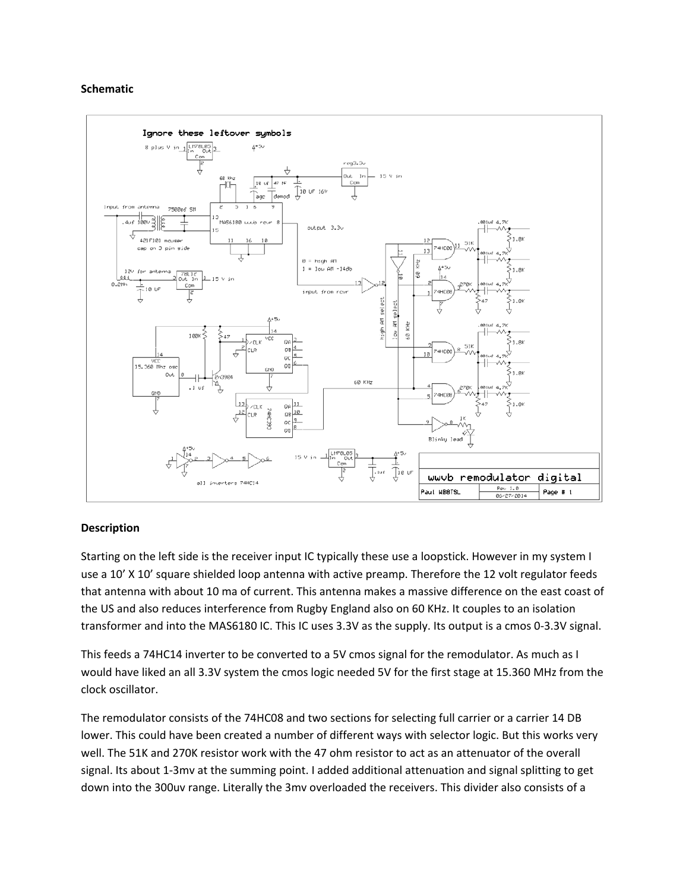#### **Schematic**



# **Description**

Starting on the left side is the receiver input IC typically these use a loopstick. However in my system I use a 10' X 10' square shielded loop antenna with active preamp. Therefore the 12 volt regulator feeds that antenna with about 10 ma of current. This antenna makes a massive difference on the east coast of the US and also reduces interference from Rugby England also on 60 KHz. It couples to an isolation transformer and into the MAS6180 IC. This IC uses 3.3V as the supply. Its output is a cmos 0-3.3V signal.

This feeds a 74HC14 inverter to be converted to a 5V cmos signal for the remodulator. As much as I would have liked an all 3.3V system the cmos logic needed 5V for the first stage at 15.360 MHz from the clock oscillator.

The remodulator consists of the 74HC08 and two sections for selecting full carrier or a carrier 14 DB lower. This could have been created a number of different ways with selector logic. But this works very well. The 51K and 270K resistor work with the 47 ohm resistor to act as an attenuator of the overall signal. Its about 1-3mv at the summing point. I added additional attenuation and signal splitting to get down into the 300uv range. Literally the 3mv overloaded the receivers. This divider also consists of a